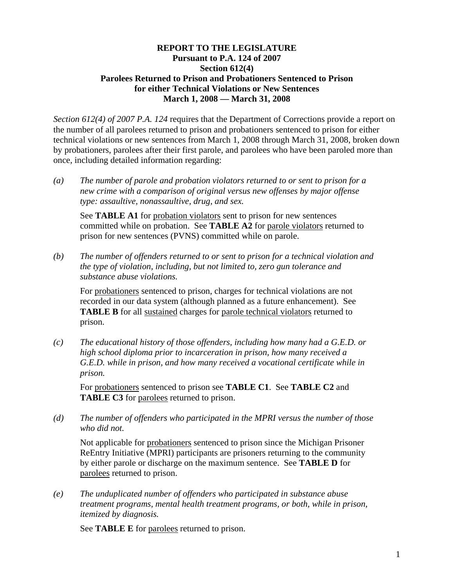#### **REPORT TO THE LEGISLATURE Pursuant to P.A. 124 of 2007 Section 612(4) Parolees Returned to Prison and Probationers Sentenced to Prison for either Technical Violations or New Sentences March 1, 2008 — March 31, 2008**

*Section 612(4) of 2007 P.A. 124* requires that the Department of Corrections provide a report on the number of all parolees returned to prison and probationers sentenced to prison for either technical violations or new sentences from March 1, 2008 through March 31, 2008, broken down by probationers, parolees after their first parole, and parolees who have been paroled more than once, including detailed information regarding:

*(a) The number of parole and probation violators returned to or sent to prison for a new crime with a comparison of original versus new offenses by major offense type: assaultive, nonassaultive, drug, and sex.* 

See **TABLE A1** for probation violators sent to prison for new sentences committed while on probation. See **TABLE A2** for parole violators returned to prison for new sentences (PVNS) committed while on parole.

*(b) The number of offenders returned to or sent to prison for a technical violation and the type of violation, including, but not limited to, zero gun tolerance and substance abuse violations.* 

For probationers sentenced to prison, charges for technical violations are not recorded in our data system (although planned as a future enhancement). See **TABLE B** for all sustained charges for parole technical violators returned to prison.

*(c) The educational history of those offenders, including how many had a G.E.D. or high school diploma prior to incarceration in prison, how many received a G.E.D. while in prison, and how many received a vocational certificate while in prison.* 

For probationers sentenced to prison see **TABLE C1**. See **TABLE C2** and **TABLE C3** for parolees returned to prison.

*(d) The number of offenders who participated in the MPRI versus the number of those who did not.* 

Not applicable for probationers sentenced to prison since the Michigan Prisoner ReEntry Initiative (MPRI) participants are prisoners returning to the community by either parole or discharge on the maximum sentence. See **TABLE D** for parolees returned to prison.

*(e) The unduplicated number of offenders who participated in substance abuse treatment programs, mental health treatment programs, or both, while in prison, itemized by diagnosis.* 

See **TABLE E** for parolees returned to prison.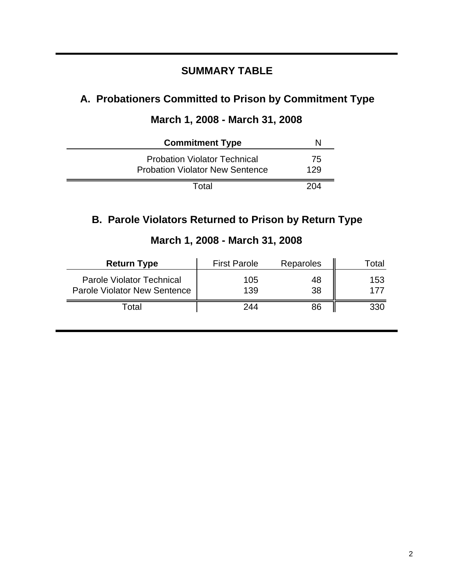## **SUMMARY TABLE**

# **A. Probationers Committed to Prison by Commitment Type**

# **March 1, 2008 - March 31, 2008**

| <b>Commitment Type</b>                                                        |           |
|-------------------------------------------------------------------------------|-----------|
| <b>Probation Violator Technical</b><br><b>Probation Violator New Sentence</b> | 75<br>129 |
| Total                                                                         | 204       |

## **B. Parole Violators Returned to Prison by Return Type**

| <b>Return Type</b>                                                      | <b>First Parole</b> | Reparoles | l otal     |
|-------------------------------------------------------------------------|---------------------|-----------|------------|
| <b>Parole Violator Technical</b><br><b>Parole Violator New Sentence</b> | 105<br>139          | 48<br>38  | 153<br>177 |
| Γotal                                                                   | 244                 | 86        | 330        |

## **March 1, 2008 - March 31, 2008**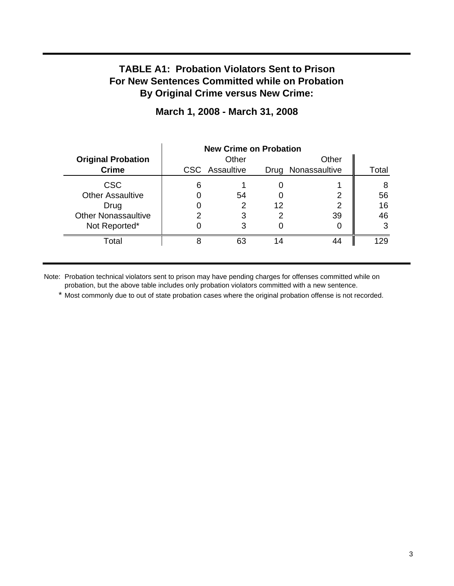## **TABLE A1: Probation Violators Sent to Prison For New Sentences Committed while on Probation By Original Crime versus New Crime:**

|                            | <b>New Crime on Probation</b> |                       |    |                    |       |
|----------------------------|-------------------------------|-----------------------|----|--------------------|-------|
| <b>Original Probation</b>  |                               | Other                 |    | Other              |       |
| <b>Crime</b>               |                               | <b>CSC</b> Assaultive |    | Drug Nonassaultive | Total |
| <b>CSC</b>                 | 6                             |                       |    |                    | 8     |
| <b>Other Assaultive</b>    |                               | 54                    |    | 2                  | 56    |
| Drug                       |                               |                       | 12 | 2                  | 16    |
| <b>Other Nonassaultive</b> | າ                             | 3                     | っ  | 39                 | 46    |
| Not Reported*              |                               | 3                     |    |                    | 3     |
| Total                      | 8                             | 63                    |    | 44                 | 129   |

## **March 1, 2008 - March 31, 2008**

Note: Probation technical violators sent to prison may have pending charges for offenses committed while on probation, but the above table includes only probation violators committed with a new sentence.

\* Most commonly due to out of state probation cases where the original probation offense is not recorded.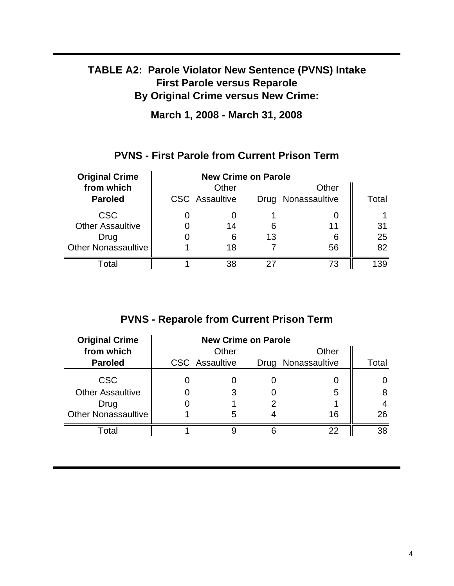# **TABLE A2: Parole Violator New Sentence (PVNS) Intake First Parole versus Reparole By Original Crime versus New Crime:**

**March 1, 2008 - March 31, 2008**

## **PVNS - First Parole from Current Prison Term**

| <b>Original Crime</b>      | <b>New Crime on Parole</b> |                       |    |                    |       |
|----------------------------|----------------------------|-----------------------|----|--------------------|-------|
| from which                 |                            | Other                 |    | Other              |       |
| <b>Paroled</b>             |                            | <b>CSC</b> Assaultive |    | Drug Nonassaultive | Total |
| <b>CSC</b>                 |                            |                       |    |                    |       |
| <b>Other Assaultive</b>    |                            | 14                    | 6  | 11                 | 31    |
| Drug                       |                            | 6                     | 13 | 6                  | 25    |
| <b>Other Nonassaultive</b> |                            | 18                    |    | 56                 | 82    |
| Total                      |                            | 38                    |    | 73                 | 139   |

# **PVNS - Reparole from Current Prison Term**

| <b>Original Crime</b>      | <b>New Crime on Parole</b> |                       |  |                    |       |
|----------------------------|----------------------------|-----------------------|--|--------------------|-------|
| from which                 |                            | Other                 |  | Other              |       |
| <b>Paroled</b>             |                            | <b>CSC</b> Assaultive |  | Drug Nonassaultive | Total |
| <b>CSC</b>                 |                            |                       |  |                    |       |
| <b>Other Assaultive</b>    |                            |                       |  | 5                  | 8     |
| Drug                       |                            |                       |  |                    |       |
| <b>Other Nonassaultive</b> |                            | 5                     |  | 16                 | 26    |
| Total                      |                            |                       |  | 22                 | 38    |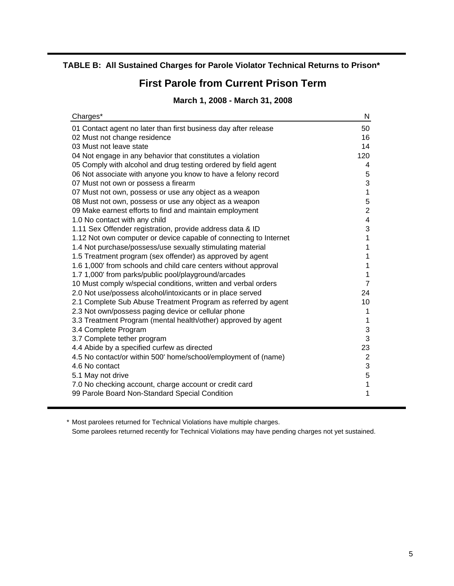#### **TABLE B: All Sustained Charges for Parole Violator Technical Returns to Prison\***

## **First Parole from Current Prison Term**

### **March 1, 2008 - March 31, 2008**

| Charges*                                                          | N                       |
|-------------------------------------------------------------------|-------------------------|
| 01 Contact agent no later than first business day after release   | 50                      |
| 02 Must not change residence                                      | 16                      |
| 03 Must not leave state                                           | 14                      |
| 04 Not engage in any behavior that constitutes a violation        | 120                     |
| 05 Comply with alcohol and drug testing ordered by field agent    | 4                       |
| 06 Not associate with anyone you know to have a felony record     | 5                       |
| 07 Must not own or possess a firearm                              | 3                       |
| 07 Must not own, possess or use any object as a weapon            | 1                       |
| 08 Must not own, possess or use any object as a weapon            | 5                       |
| 09 Make earnest efforts to find and maintain employment           | $\overline{2}$          |
| 1.0 No contact with any child                                     | $\overline{\mathbf{4}}$ |
| 1.11 Sex Offender registration, provide address data & ID         | 3                       |
| 1.12 Not own computer or device capable of connecting to Internet | 1                       |
| 1.4 Not purchase/possess/use sexually stimulating material        | 1                       |
| 1.5 Treatment program (sex offender) as approved by agent         | 1                       |
| 1.6 1,000' from schools and child care centers without approval   | 1                       |
| 1.7 1,000' from parks/public pool/playground/arcades              | 1                       |
| 10 Must comply w/special conditions, written and verbal orders    | $\overline{7}$          |
| 2.0 Not use/possess alcohol/intoxicants or in place served        | 24                      |
| 2.1 Complete Sub Abuse Treatment Program as referred by agent     | 10                      |
| 2.3 Not own/possess paging device or cellular phone               | 1                       |
| 3.3 Treatment Program (mental health/other) approved by agent     | 1                       |
| 3.4 Complete Program                                              | $\mathsf 3$             |
| 3.7 Complete tether program                                       | 3                       |
| 4.4 Abide by a specified curfew as directed                       | 23                      |
| 4.5 No contact/or within 500' home/school/employment of (name)    | $\overline{2}$          |
| 4.6 No contact                                                    | 3                       |
| 5.1 May not drive                                                 | 5                       |
| 7.0 No checking account, charge account or credit card            | 1                       |
| 99 Parole Board Non-Standard Special Condition                    | 1                       |

\* Most parolees returned for Technical Violations have multiple charges.

Some parolees returned recently for Technical Violations may have pending charges not yet sustained.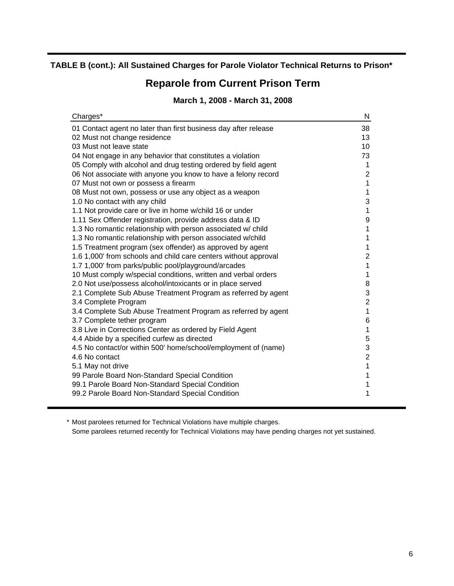#### **TABLE B (cont.): All Sustained Charges for Parole Violator Technical Returns to Prison\***

# **Reparole from Current Prison Term**

## **March 1, 2008 - March 31, 2008**

| Charges*                                                                                     | N              |
|----------------------------------------------------------------------------------------------|----------------|
| 01 Contact agent no later than first business day after release                              | 38             |
| 02 Must not change residence                                                                 | 13             |
| 03 Must not leave state                                                                      | 10             |
| 04 Not engage in any behavior that constitutes a violation                                   | 73             |
| 05 Comply with alcohol and drug testing ordered by field agent                               | 1              |
| 06 Not associate with anyone you know to have a felony record                                | $\overline{c}$ |
| 07 Must not own or possess a firearm                                                         | $\mathbf 1$    |
| 08 Must not own, possess or use any object as a weapon                                       | 1              |
| 1.0 No contact with any child                                                                | 3              |
| 1.1 Not provide care or live in home w/child 16 or under                                     | 1              |
| 1.11 Sex Offender registration, provide address data & ID                                    | 9              |
| 1.3 No romantic relationship with person associated w/ child                                 | $\mathbf 1$    |
| 1.3 No romantic relationship with person associated w/child                                  | 1              |
| 1.5 Treatment program (sex offender) as approved by agent                                    | 1              |
| 1.6 1,000' from schools and child care centers without approval                              | $\overline{2}$ |
| 1.7 1,000' from parks/public pool/playground/arcades                                         | $\mathbf{1}$   |
| 10 Must comply w/special conditions, written and verbal orders                               | 1              |
| 2.0 Not use/possess alcohol/intoxicants or in place served                                   | 8<br>3         |
| 2.1 Complete Sub Abuse Treatment Program as referred by agent                                | $\overline{c}$ |
| 3.4 Complete Program                                                                         | $\overline{1}$ |
| 3.4 Complete Sub Abuse Treatment Program as referred by agent<br>3.7 Complete tether program | $6\phantom{1}$ |
| 3.8 Live in Corrections Center as ordered by Field Agent                                     | $\mathbf 1$    |
| 4.4 Abide by a specified curfew as directed                                                  | 5              |
| 4.5 No contact/or within 500' home/school/employment of (name)                               | 3              |
| 4.6 No contact                                                                               | $\overline{2}$ |
| 5.1 May not drive                                                                            | 1              |
| 99 Parole Board Non-Standard Special Condition                                               | 1              |
| 99.1 Parole Board Non-Standard Special Condition                                             | 1              |
| 99.2 Parole Board Non-Standard Special Condition                                             | 1              |
|                                                                                              |                |

\* Most parolees returned for Technical Violations have multiple charges.

Some parolees returned recently for Technical Violations may have pending charges not yet sustained.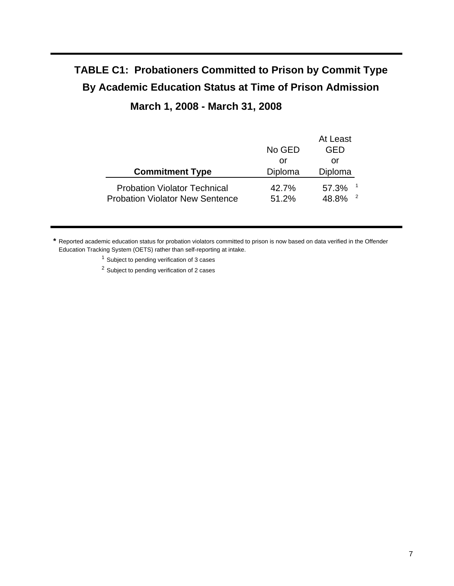# **TABLE C1: Probationers Committed to Prison by Commit Type By Academic Education Status at Time of Prison Admission March 1, 2008 - March 31, 2008**

## At Least No GED GED or or **Commitment Type Diploma** Diploma Probation Violator Technical 42.7% 57.3% Probation Violator New Sentence 51.2% 48.8% <sup>2</sup>

**\*** Reported academic education status for probation violators committed to prison is now based on data verified in the Offender Education Tracking System (OETS) rather than self-reporting at intake.

<sup>1</sup> Subject to pending verification of 3 cases

<sup>2</sup> Subject to pending verification of 2 cases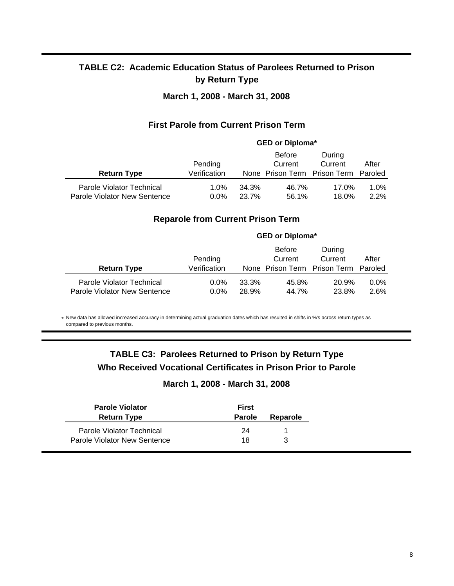## **TABLE C2: Academic Education Status of Parolees Returned to Prison by Return Type**

#### **March 1, 2008 - March 31, 2008**

#### **First Parole from Current Prison Term**

|                                                           |                         |                | <b>GED or Diploma*</b>                                           |                   |              |
|-----------------------------------------------------------|-------------------------|----------------|------------------------------------------------------------------|-------------------|--------------|
| <b>Return Type</b>                                        | Pending<br>Verification |                | <b>Before</b><br>Current<br>None Prison Term Prison Term Paroled | During<br>Current | After        |
| Parole Violator Technical<br>Parole Violator New Sentence | $1.0\%$<br>$0.0\%$      | 34.3%<br>23.7% | 46.7%<br>56.1%                                                   | 17.0%<br>18.0%    | 1.0%<br>2.2% |

#### **Reparole from Current Prison Term**

|                                                           | <b>GED or Diploma*</b>  |                |                                                                  |                   |                 |
|-----------------------------------------------------------|-------------------------|----------------|------------------------------------------------------------------|-------------------|-----------------|
| <b>Return Type</b>                                        | Pending<br>Verification |                | <b>Before</b><br>Current<br>None Prison Term Prison Term Paroled | During<br>Current | After           |
| Parole Violator Technical<br>Parole Violator New Sentence | $0.0\%$<br>$0.0\%$      | 33.3%<br>28.9% | 45.8%<br>44.7%                                                   | 20.9%<br>23.8%    | $0.0\%$<br>2.6% |

\* New data has allowed increased accuracy in determining actual graduation dates which has resulted in shifts in %'s across return types as compared to previous months.

## **TABLE C3: Parolees Returned to Prison by Return Type Who Received Vocational Certificates in Prison Prior to Parole**

#### **March 1, 2008 - March 31, 2008**

| <b>Parole Violator</b><br><b>Return Type</b> | <b>First</b><br><b>Parole</b> | Reparole |
|----------------------------------------------|-------------------------------|----------|
| Parole Violator Technical                    | 24                            |          |
| Parole Violator New Sentence                 | 18                            |          |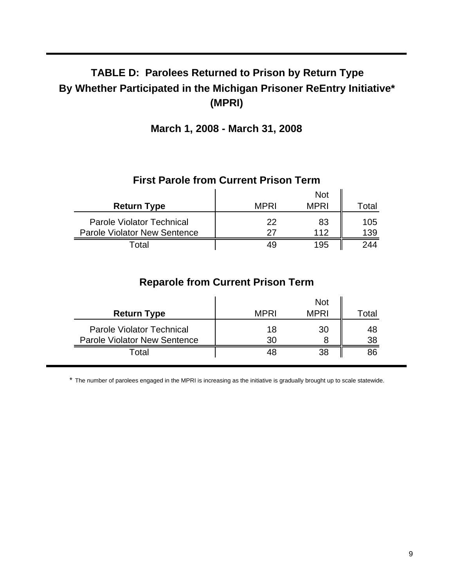# **TABLE D: Parolees Returned to Prison by Return Type By Whether Participated in the Michigan Prisoner ReEntry Initiative\* (MPRI)**

**March 1, 2008 - March 31, 2008**

| 1 11 36 1 41 81 81 91 11 81 11 81 11 81 11 12 81 12 13 14 15 16 17 18 17 18 17 18 18 19 19 19 19 19 1 |             |             |            |  |
|-------------------------------------------------------------------------------------------------------|-------------|-------------|------------|--|
|                                                                                                       |             | <b>Not</b>  |            |  |
| <b>Return Type</b>                                                                                    | <b>MPRI</b> | <b>MPRI</b> | Total      |  |
| <b>Parole Violator Technical</b><br><b>Parole Violator New Sentence</b>                               | 22<br>27    | 83<br>112   | 105<br>139 |  |
| Total                                                                                                 | 49          | 195         | 244        |  |

### **First Parole from Current Prison Term**

## **Reparole from Current Prison Term**

| <b>Return Type</b>                                                      | <b>MPRI</b> | <b>Not</b><br><b>MPRI</b> | Total    |
|-------------------------------------------------------------------------|-------------|---------------------------|----------|
| <b>Parole Violator Technical</b><br><b>Parole Violator New Sentence</b> | 18<br>30    | 30                        | 48<br>38 |
| Total                                                                   |             | 38                        |          |

\* The number of parolees engaged in the MPRI is increasing as the initiative is gradually brought up to scale statewide.